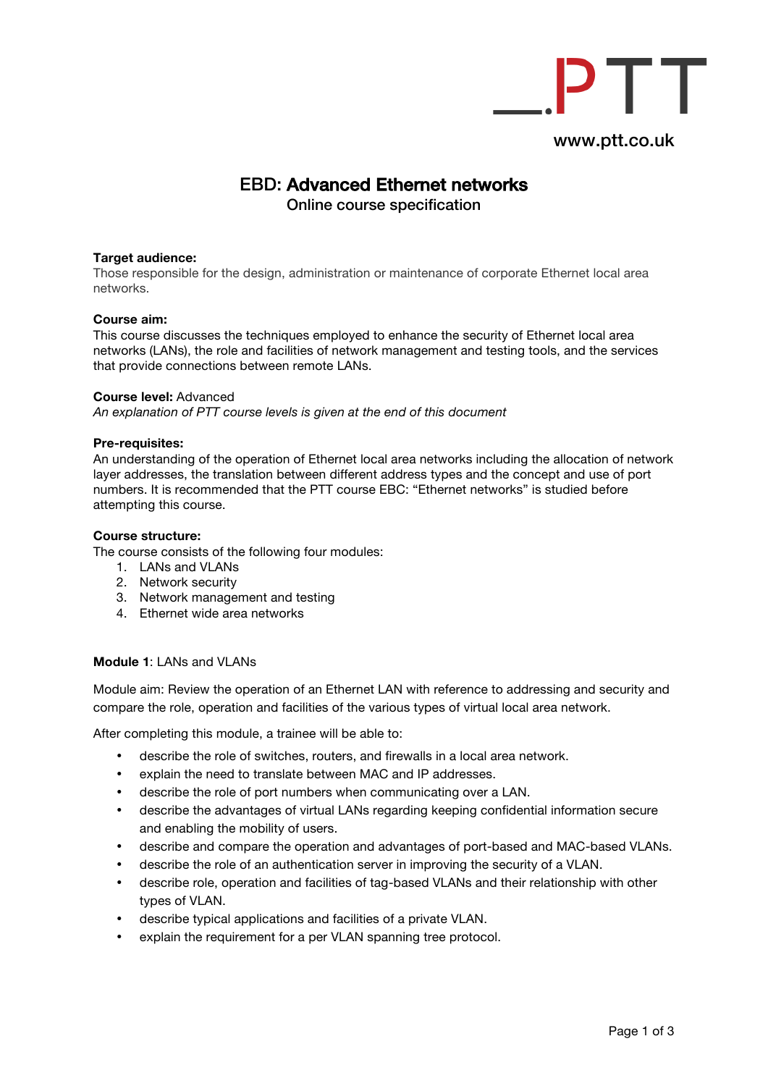

# EBD: Advanced Ethernet networks

Online course specification

## **Target audience:**

Those responsible for the design, administration or maintenance of corporate Ethernet local area networks.

#### **Course aim:**

This course discusses the techniques employed to enhance the security of Ethernet local area networks (LANs), the role and facilities of network management and testing tools, and the services that provide connections between remote LANs.

#### **Course level:** Advanced

*An explanation of PTT course levels is given at the end of this document* 

## **Pre-requisites:**

An understanding of the operation of Ethernet local area networks including the allocation of network layer addresses, the translation between different address types and the concept and use of port numbers. It is recommended that the PTT course EBC: "Ethernet networks" is studied before attempting this course.

## **Course structure:**

The course consists of the following four modules:

- 1. LANs and VLANs
- 2. Network security
- 3. Network management and testing
- 4. Ethernet wide area networks

#### **Module 1**: LANs and VLANs

Module aim: Review the operation of an Ethernet LAN with reference to addressing and security and compare the role, operation and facilities of the various types of virtual local area network.

After completing this module, a trainee will be able to:

- describe the role of switches, routers, and firewalls in a local area network.
- explain the need to translate between MAC and IP addresses.
- describe the role of port numbers when communicating over a LAN.
- describe the advantages of virtual LANs regarding keeping confidential information secure and enabling the mobility of users.
- describe and compare the operation and advantages of port-based and MAC-based VLANs.
- describe the role of an authentication server in improving the security of a VLAN.
- describe role, operation and facilities of tag-based VLANs and their relationship with other types of VLAN.
- describe typical applications and facilities of a private VLAN.
- explain the requirement for a per VLAN spanning tree protocol.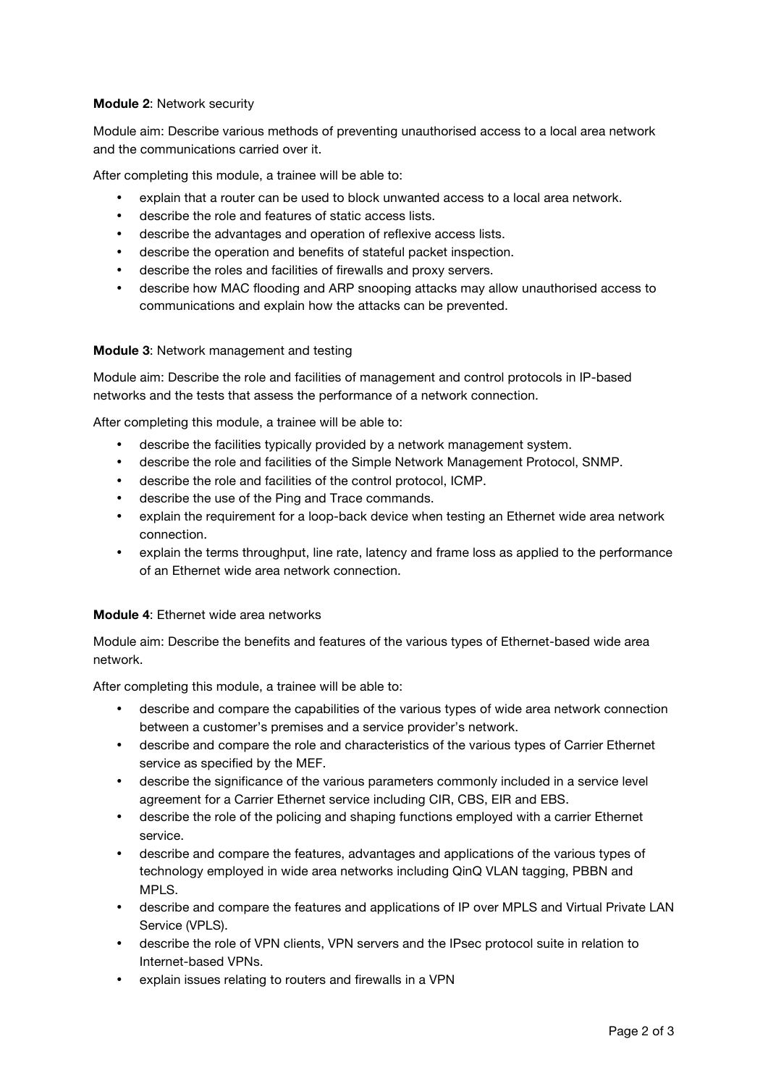# **Module 2**: Network security

Module aim: Describe various methods of preventing unauthorised access to a local area network and the communications carried over it.

After completing this module, a trainee will be able to:

- explain that a router can be used to block unwanted access to a local area network.
- describe the role and features of static access lists.
- describe the advantages and operation of reflexive access lists.
- describe the operation and benefits of stateful packet inspection.
- describe the roles and facilities of firewalls and proxy servers.
- describe how MAC flooding and ARP snooping attacks may allow unauthorised access to communications and explain how the attacks can be prevented.

## **Module 3**: Network management and testing

Module aim: Describe the role and facilities of management and control protocols in IP-based networks and the tests that assess the performance of a network connection.

After completing this module, a trainee will be able to:

- describe the facilities typically provided by a network management system.
- describe the role and facilities of the Simple Network Management Protocol, SNMP.
- describe the role and facilities of the control protocol, ICMP.
- describe the use of the Ping and Trace commands.
- explain the requirement for a loop-back device when testing an Ethernet wide area network connection.
- explain the terms throughput, line rate, latency and frame loss as applied to the performance of an Ethernet wide area network connection.

## **Module 4**: Ethernet wide area networks

Module aim: Describe the benefits and features of the various types of Ethernet-based wide area network.

After completing this module, a trainee will be able to:

- describe and compare the capabilities of the various types of wide area network connection between a customer's premises and a service provider's network.
- describe and compare the role and characteristics of the various types of Carrier Ethernet service as specified by the MEF.
- describe the significance of the various parameters commonly included in a service level agreement for a Carrier Ethernet service including CIR, CBS, EIR and EBS.
- describe the role of the policing and shaping functions employed with a carrier Ethernet service.
- describe and compare the features, advantages and applications of the various types of technology employed in wide area networks including QinQ VLAN tagging, PBBN and MPLS.
- describe and compare the features and applications of IP over MPLS and Virtual Private LAN Service (VPLS).
- describe the role of VPN clients, VPN servers and the IPsec protocol suite in relation to Internet-based VPNs.
- explain issues relating to routers and firewalls in a VPN